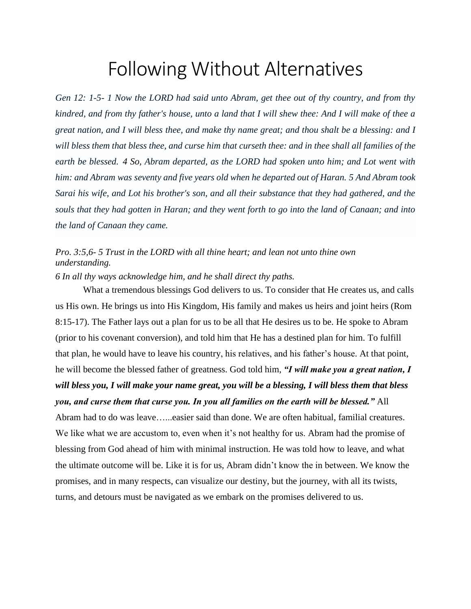## Following Without Alternatives

*Gen 12: 1-5- 1 Now the LORD had said unto Abram, get thee out of thy country, and from thy kindred, and from thy father's house, unto a land that I will shew thee: And I will make of thee a great nation, and I will bless thee, and make thy name great; and thou shalt be a blessing: and I will bless them that bless thee, and curse him that curseth thee: and in thee shall all families of the earth be blessed. 4 So, Abram departed, as the LORD had spoken unto him; and Lot went with him: and Abram was seventy and five years old when he departed out of Haran. 5 And Abram took Sarai his wife, and Lot his brother's son, and all their substance that they had gathered, and the souls that they had gotten in Haran; and they went forth to go into the land of Canaan; and into the land of Canaan they came.*

## *Pro. 3:5,6- 5 Trust in the LORD with all thine heart; and lean not unto thine own understanding.*

*6 In all thy ways acknowledge him, and he shall direct thy paths.*

What a tremendous blessings God delivers to us. To consider that He creates us, and calls us His own. He brings us into His Kingdom, His family and makes us heirs and joint heirs (Rom 8:15-17). The Father lays out a plan for us to be all that He desires us to be. He spoke to Abram (prior to his covenant conversion), and told him that He has a destined plan for him. To fulfill that plan, he would have to leave his country, his relatives, and his father's house. At that point, he will become the blessed father of greatness. God told him, *"I will make you a great nation, I will bless you, I will make your name great, you will be a blessing, I will bless them that bless you, and curse them that curse you. In you all families on the earth will be blessed."* All Abram had to do was leave…...easier said than done. We are often habitual, familial creatures. We like what we are accustom to, even when it's not healthy for us. Abram had the promise of blessing from God ahead of him with minimal instruction. He was told how to leave, and what the ultimate outcome will be. Like it is for us, Abram didn't know the in between. We know the promises, and in many respects, can visualize our destiny, but the journey, with all its twists, turns, and detours must be navigated as we embark on the promises delivered to us.